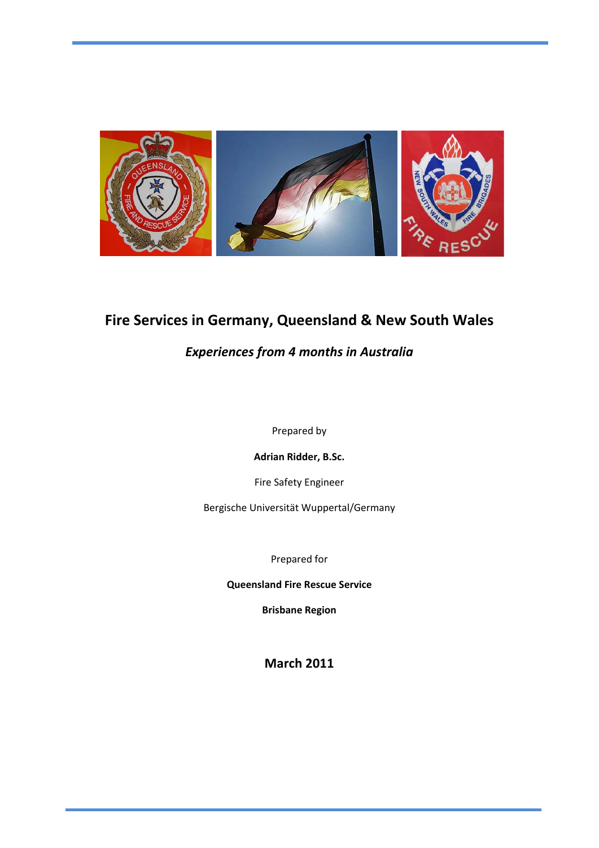

# **Fire Services in Germany, Queensland & New South Wales**

### *Experiences from 4 months in Australia*

Prepared by

**Adrian Ridder, B.Sc.**

Fire Safety Engineer

Bergische Universität Wuppertal/Germany

Prepared for

**Queensland Fire Rescue Service**

**Brisbane Region**

**March 2011**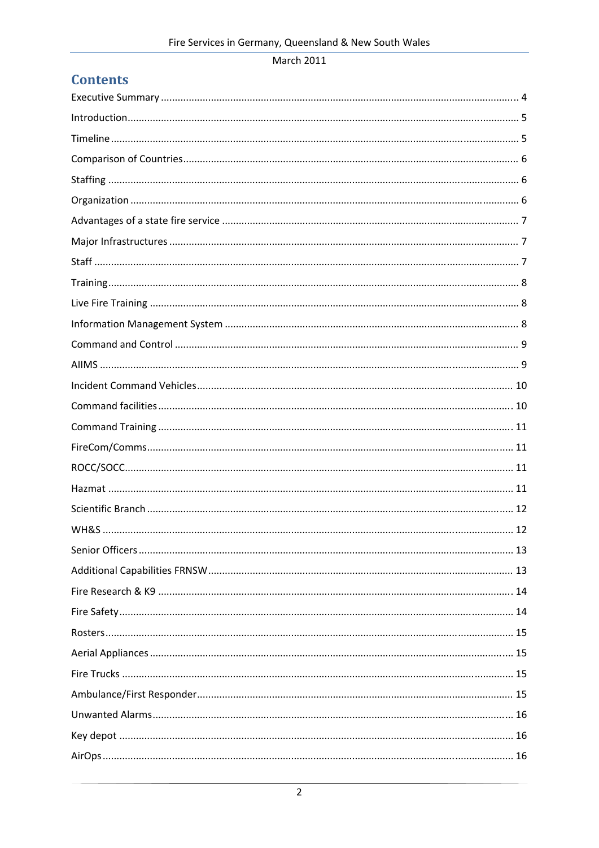# **Contents**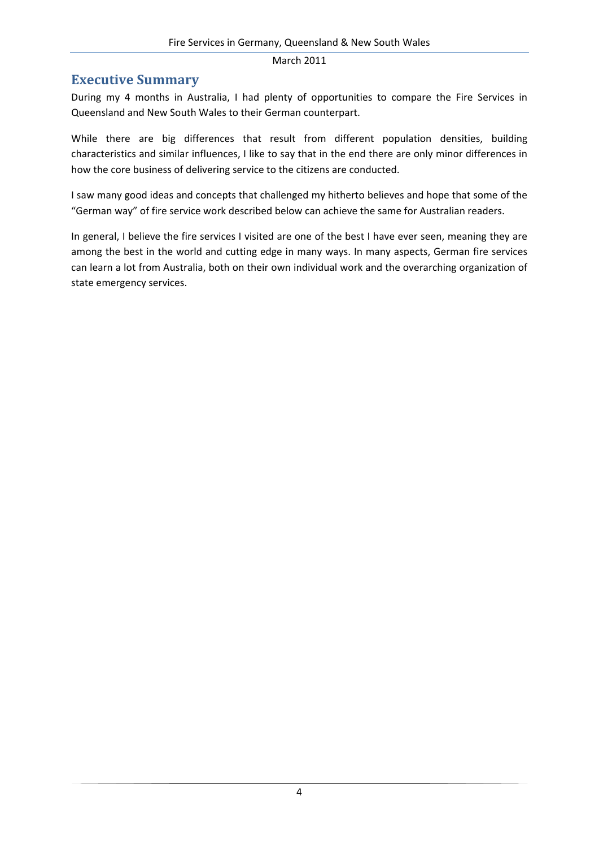#### **Executive Summary**

During my 4 months in Australia, I had plenty of opportunities to compare the Fire Services in Queensland and New South Wales to their German counterpart.

While there are big differences that result from different population densities, building characteristics and similar influences, I like to say that in the end there are only minor differences in how the core business of delivering service to the citizens are conducted.

I saw many good ideas and concepts that challenged my hitherto believes and hope that some of the "German way" of fire service work described below can achieve the same for Australian readers.

In general, I believe the fire services I visited are one of the best I have ever seen, meaning they are among the best in the world and cutting edge in many ways. In many aspects, German fire services can learn a lot from Australia, both on their own individual work and the overarching organization of state emergency services.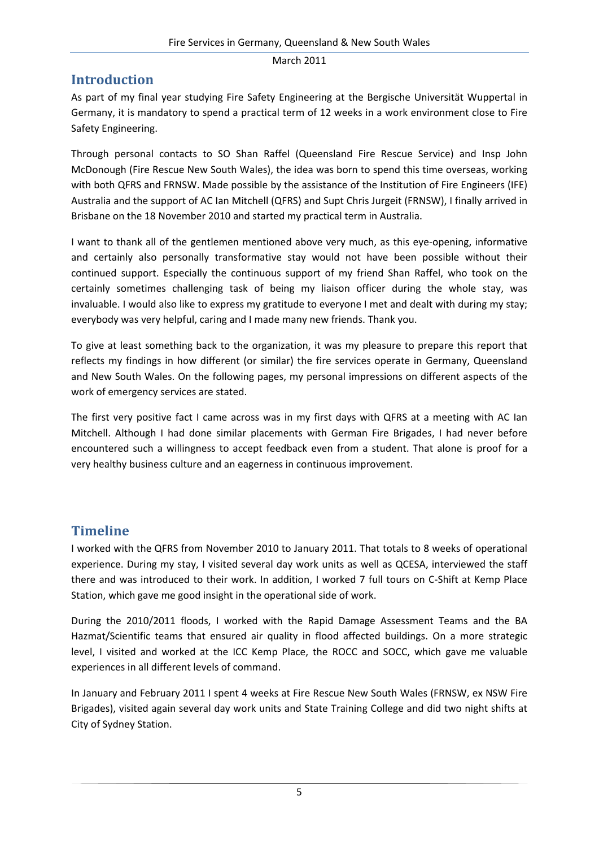### **Introduction**

As part of my final year studying Fire Safety Engineering at the Bergische Universität Wuppertal in Germany, it is mandatory to spend a practical term of 12 weeks in a work environment close to Fire Safety Engineering.

Through personal contacts to SO Shan Raffel (Queensland Fire Rescue Service) and Insp John McDonough (Fire Rescue New South Wales), the idea was born to spend this time overseas, working with both QFRS and FRNSW. Made possible by the assistance of the Institution of Fire Engineers (IFE) Australia and the support of AC Ian Mitchell (QFRS) and Supt Chris Jurgeit (FRNSW), I finally arrived in Brisbane on the 18 November 2010 and started my practical term in Australia.

I want to thank all of the gentlemen mentioned above very much, as this eye‐opening, informative and certainly also personally transformative stay would not have been possible without their continued support. Especially the continuous support of my friend Shan Raffel, who took on the certainly sometimes challenging task of being my liaison officer during the whole stay, was invaluable. I would also like to express my gratitude to everyone I met and dealt with during my stay; everybody was very helpful, caring and I made many new friends. Thank you.

To give at least something back to the organization, it was my pleasure to prepare this report that reflects my findings in how different (or similar) the fire services operate in Germany, Queensland and New South Wales. On the following pages, my personal impressions on different aspects of the work of emergency services are stated.

The first very positive fact I came across was in my first days with QFRS at a meeting with AC Ian Mitchell. Although I had done similar placements with German Fire Brigades, I had never before encountered such a willingness to accept feedback even from a student. That alone is proof for a very healthy business culture and an eagerness in continuous improvement.

# **Timeline**

I worked with the QFRS from November 2010 to January 2011. That totals to 8 weeks of operational experience. During my stay, I visited several day work units as well as QCESA, interviewed the staff there and was introduced to their work. In addition, I worked 7 full tours on C‐Shift at Kemp Place Station, which gave me good insight in the operational side of work.

During the 2010/2011 floods, I worked with the Rapid Damage Assessment Teams and the BA Hazmat/Scientific teams that ensured air quality in flood affected buildings. On a more strategic level, I visited and worked at the ICC Kemp Place, the ROCC and SOCC, which gave me valuable experiences in all different levels of command.

In January and February 2011 I spent 4 weeks at Fire Rescue New South Wales (FRNSW, ex NSW Fire Brigades), visited again several day work units and State Training College and did two night shifts at City of Sydney Station.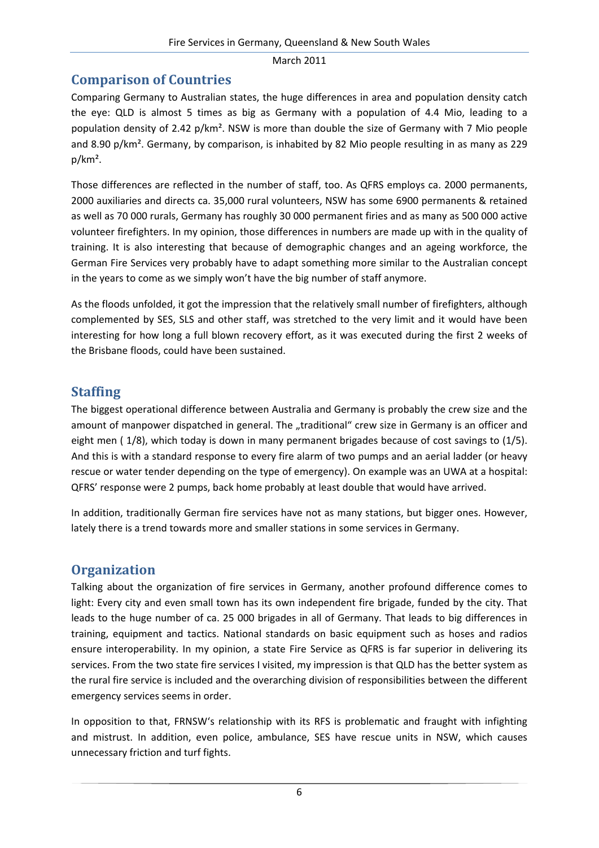### **Comparison of Countries**

Comparing Germany to Australian states, the huge differences in area and population density catch the eye: QLD is almost 5 times as big as Germany with a population of 4.4 Mio, leading to a population density of 2.42 p/km². NSW is more than double the size of Germany with 7 Mio people and 8.90 p/km<sup>2</sup>. Germany, by comparison, is inhabited by 82 Mio people resulting in as many as 229 p/km².

Those differences are reflected in the number of staff, too. As QFRS employs ca. 2000 permanents, 2000 auxiliaries and directs ca. 35,000 rural volunteers, NSW has some 6900 permanents & retained as well as 70 000 rurals, Germany has roughly 30 000 permanent firies and as many as 500 000 active volunteer firefighters. In my opinion, those differences in numbers are made up with in the quality of training. It is also interesting that because of demographic changes and an ageing workforce, the German Fire Services very probably have to adapt something more similar to the Australian concept in the years to come as we simply won't have the big number of staff anymore.

As the floods unfolded, it got the impression that the relatively small number of firefighters, although complemented by SES, SLS and other staff, was stretched to the very limit and it would have been interesting for how long a full blown recovery effort, as it was executed during the first 2 weeks of the Brisbane floods, could have been sustained.

### **Staffing**

The biggest operational difference between Australia and Germany is probably the crew size and the amount of manpower dispatched in general. The "traditional" crew size in Germany is an officer and eight men ( 1/8), which today is down in many permanent brigades because of cost savings to (1/5). And this is with a standard response to every fire alarm of two pumps and an aerial ladder (or heavy rescue or water tender depending on the type of emergency). On example was an UWA at a hospital: QFRS' response were 2 pumps, back home probably at least double that would have arrived.

In addition, traditionally German fire services have not as many stations, but bigger ones. However, lately there is a trend towards more and smaller stations in some services in Germany.

# **Organization**

Talking about the organization of fire services in Germany, another profound difference comes to light: Every city and even small town has its own independent fire brigade, funded by the city. That leads to the huge number of ca. 25 000 brigades in all of Germany. That leads to big differences in training, equipment and tactics. National standards on basic equipment such as hoses and radios ensure interoperability. In my opinion, a state Fire Service as QFRS is far superior in delivering its services. From the two state fire services I visited, my impression is that QLD has the better system as the rural fire service is included and the overarching division of responsibilities between the different emergency services seems in order.

In opposition to that, FRNSW's relationship with its RFS is problematic and fraught with infighting and mistrust. In addition, even police, ambulance, SES have rescue units in NSW, which causes unnecessary friction and turf fights.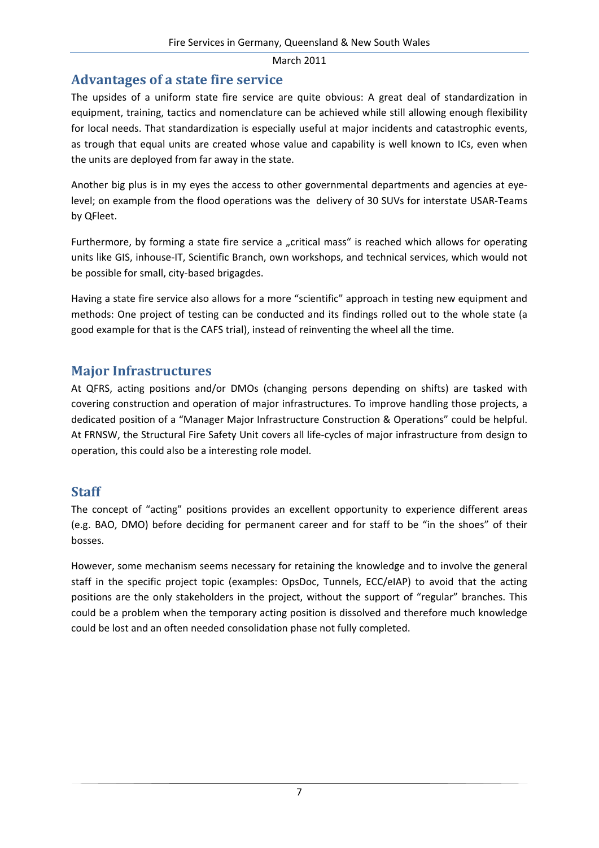### **Advantages of a state fire service**

The upsides of a uniform state fire service are quite obvious: A great deal of standardization in equipment, training, tactics and nomenclature can be achieved while still allowing enough flexibility for local needs. That standardization is especially useful at major incidents and catastrophic events, as trough that equal units are created whose value and capability is well known to ICs, even when the units are deployed from far away in the state.

Another big plus is in my eyes the access to other governmental departments and agencies at eye‐ level; on example from the flood operations was the delivery of 30 SUVs for interstate USAR‐Teams by QFleet.

Furthermore, by forming a state fire service a "critical mass" is reached which allows for operating units like GIS, inhouse‐IT, Scientific Branch, own workshops, and technical services, which would not be possible for small, city‐based brigagdes.

Having a state fire service also allows for a more "scientific" approach in testing new equipment and methods: One project of testing can be conducted and its findings rolled out to the whole state (a good example for that is the CAFS trial), instead of reinventing the wheel all the time.

#### **Major Infrastructures**

At QFRS, acting positions and/or DMOs (changing persons depending on shifts) are tasked with covering construction and operation of major infrastructures. To improve handling those projects, a dedicated position of a "Manager Major Infrastructure Construction & Operations" could be helpful. At FRNSW, the Structural Fire Safety Unit covers all life‐cycles of major infrastructure from design to operation, this could also be a interesting role model.

### **Staff**

The concept of "acting" positions provides an excellent opportunity to experience different areas (e.g. BAO, DMO) before deciding for permanent career and for staff to be "in the shoes" of their bosses.

However, some mechanism seems necessary for retaining the knowledge and to involve the general staff in the specific project topic (examples: OpsDoc, Tunnels, ECC/eIAP) to avoid that the acting positions are the only stakeholders in the project, without the support of "regular" branches. This could be a problem when the temporary acting position is dissolved and therefore much knowledge could be lost and an often needed consolidation phase not fully completed.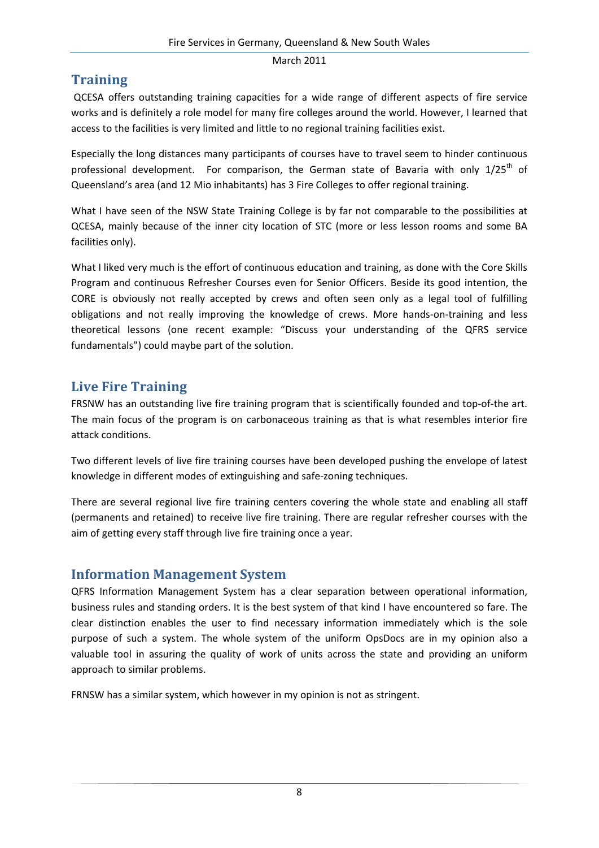## **Training**

QCESA offers outstanding training capacities for a wide range of different aspects of fire service works and is definitely a role model for many fire colleges around the world. However, I learned that access to the facilities is very limited and little to no regional training facilities exist.

Especially the long distances many participants of courses have to travel seem to hinder continuous professional development. For comparison, the German state of Bavaria with only 1/25<sup>th</sup> of Queensland's area (and 12 Mio inhabitants) has 3 Fire Colleges to offer regional training.

What I have seen of the NSW State Training College is by far not comparable to the possibilities at QCESA, mainly because of the inner city location of STC (more or less lesson rooms and some BA facilities only).

What I liked very much is the effort of continuous education and training, as done with the Core Skills Program and continuous Refresher Courses even for Senior Officers. Beside its good intention, the CORE is obviously not really accepted by crews and often seen only as a legal tool of fulfilling obligations and not really improving the knowledge of crews. More hands‐on‐training and less theoretical lessons (one recent example: "Discuss your understanding of the QFRS service fundamentals") could maybe part of the solution.

### **Live Fire Training**

FRSNW has an outstanding live fire training program that is scientifically founded and top-of-the art. The main focus of the program is on carbonaceous training as that is what resembles interior fire attack conditions.

Two different levels of live fire training courses have been developed pushing the envelope of latest knowledge in different modes of extinguishing and safe‐zoning techniques.

There are several regional live fire training centers covering the whole state and enabling all staff (permanents and retained) to receive live fire training. There are regular refresher courses with the aim of getting every staff through live fire training once a year.

### **Information Management System**

QFRS Information Management System has a clear separation between operational information, business rules and standing orders. It is the best system of that kind I have encountered so fare. The clear distinction enables the user to find necessary information immediately which is the sole purpose of such a system. The whole system of the uniform OpsDocs are in my opinion also a valuable tool in assuring the quality of work of units across the state and providing an uniform approach to similar problems.

FRNSW has a similar system, which however in my opinion is not as stringent.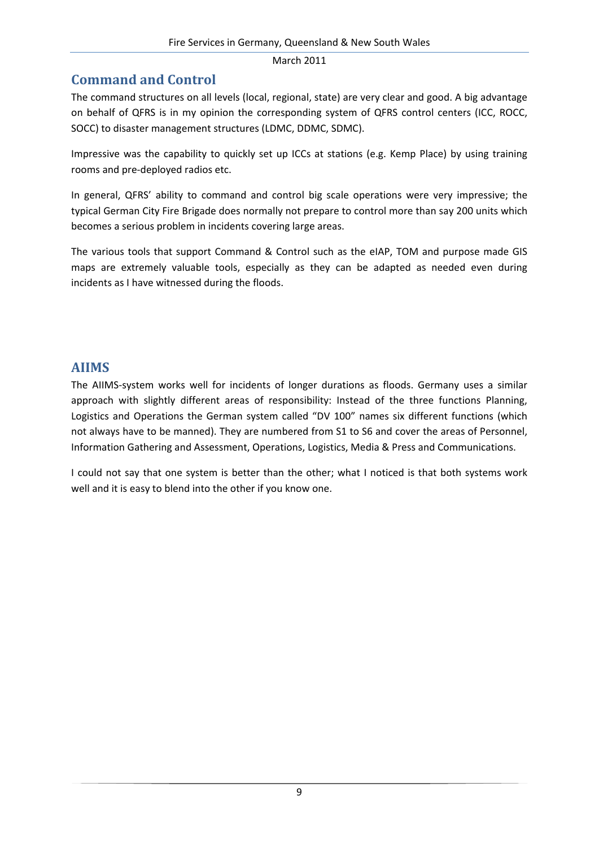### **Command and Control**

The command structures on all levels (local, regional, state) are very clear and good. A big advantage on behalf of QFRS is in my opinion the corresponding system of QFRS control centers (ICC, ROCC, SOCC) to disaster management structures (LDMC, DDMC, SDMC).

Impressive was the capability to quickly set up ICCs at stations (e.g. Kemp Place) by using training rooms and pre‐deployed radios etc.

In general, QFRS' ability to command and control big scale operations were very impressive; the typical German City Fire Brigade does normally not prepare to control more than say 200 units which becomes a serious problem in incidents covering large areas.

The various tools that support Command & Control such as the eIAP, TOM and purpose made GIS maps are extremely valuable tools, especially as they can be adapted as needed even during incidents as I have witnessed during the floods.

#### **AIIMS**

The AIIMS‐system works well for incidents of longer durations as floods. Germany uses a similar approach with slightly different areas of responsibility: Instead of the three functions Planning, Logistics and Operations the German system called "DV 100" names six different functions (which not always have to be manned). They are numbered from S1 to S6 and cover the areas of Personnel, Information Gathering and Assessment, Operations, Logistics, Media & Press and Communications.

I could not say that one system is better than the other; what I noticed is that both systems work well and it is easy to blend into the other if you know one.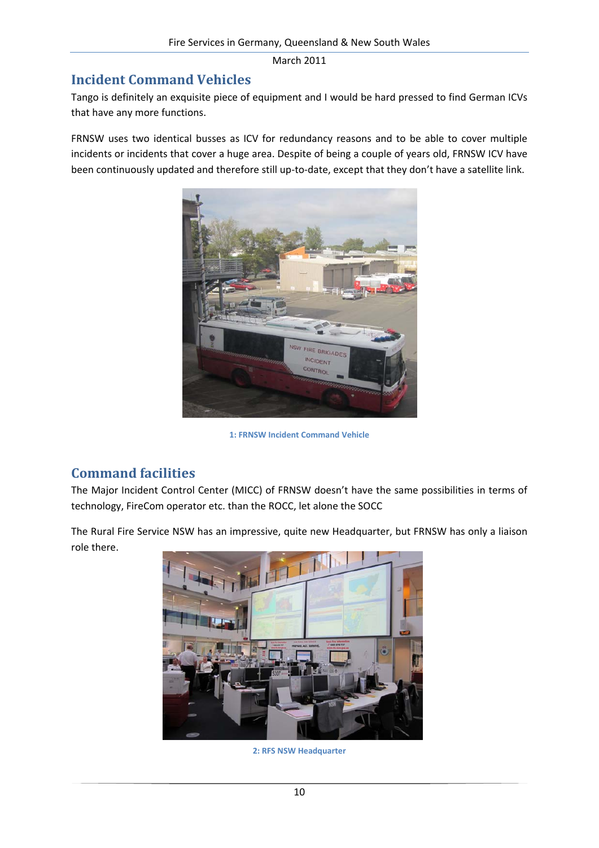### **Incident Command Vehicles**

Tango is definitely an exquisite piece of equipment and I would be hard pressed to find German ICVs that have any more functions.

FRNSW uses two identical busses as ICV for redundancy reasons and to be able to cover multiple incidents or incidents that cover a huge area. Despite of being a couple of years old, FRNSW ICV have been continuously updated and therefore still up-to-date, except that they don't have a satellite link.



**1: FRNSW Incident Command Vehicle**

### **Command facilities**

The Major Incident Control Center (MICC) of FRNSW doesn't have the same possibilities in terms of technology, FireCom operator etc. than the ROCC, let alone the SOCC

The Rural Fire Service NSW has an impressive, quite new Headquarter, but FRNSW has only a liaison role there.



**2: RFS NSW Headquarter**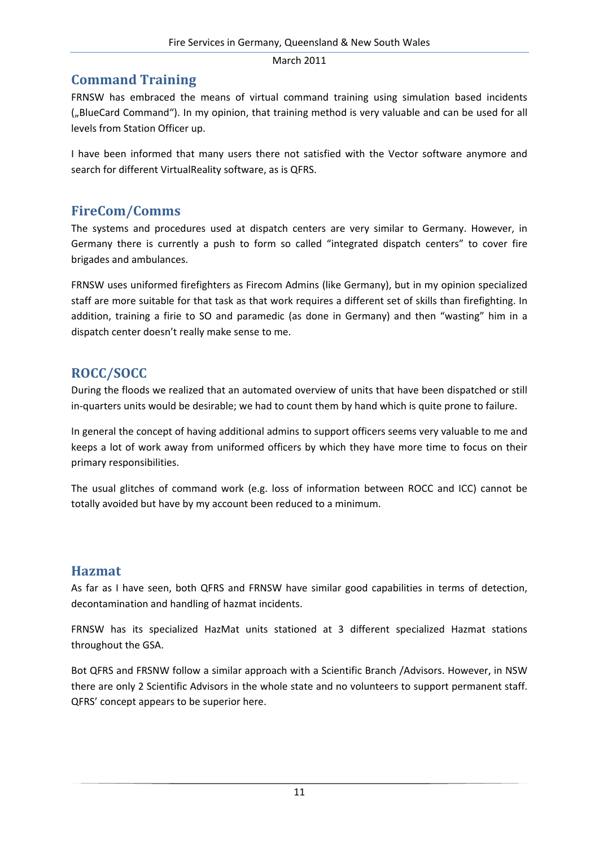### **Command Training**

FRNSW has embraced the means of virtual command training using simulation based incidents ("BlueCard Command"). In my opinion, that training method is very valuable and can be used for all levels from Station Officer up.

I have been informed that many users there not satisfied with the Vector software anymore and search for different VirtualReality software, as is QFRS.

### **FireCom/Comms**

The systems and procedures used at dispatch centers are very similar to Germany. However, in Germany there is currently a push to form so called "integrated dispatch centers" to cover fire brigades and ambulances.

FRNSW uses uniformed firefighters as Firecom Admins (like Germany), but in my opinion specialized staff are more suitable for that task as that work requires a different set of skills than firefighting. In addition, training a firie to SO and paramedic (as done in Germany) and then "wasting" him in a dispatch center doesn't really make sense to me.

# **ROCC/SOCC**

During the floods we realized that an automated overview of units that have been dispatched or still in-quarters units would be desirable; we had to count them by hand which is quite prone to failure.

In general the concept of having additional admins to support officers seems very valuable to me and keeps a lot of work away from uniformed officers by which they have more time to focus on their primary responsibilities.

The usual glitches of command work (e.g. loss of information between ROCC and ICC) cannot be totally avoided but have by my account been reduced to a minimum.

### **Hazmat**

As far as I have seen, both QFRS and FRNSW have similar good capabilities in terms of detection, decontamination and handling of hazmat incidents.

FRNSW has its specialized HazMat units stationed at 3 different specialized Hazmat stations throughout the GSA.

Bot QFRS and FRSNW follow a similar approach with a Scientific Branch /Advisors. However, in NSW there are only 2 Scientific Advisors in the whole state and no volunteers to support permanent staff. QFRS' concept appears to be superior here.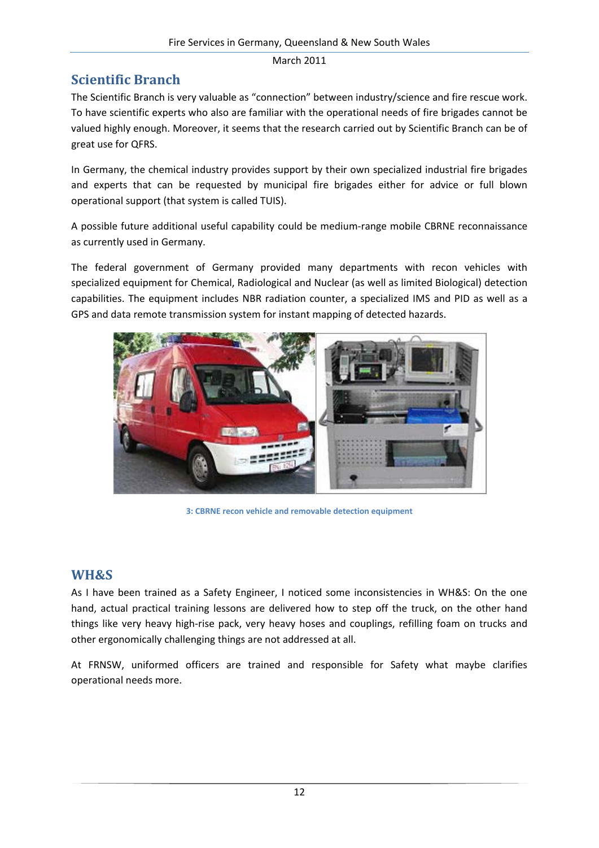### **Scientific Branch**

The Scientific Branch is very valuable as "connection" between industry/science and fire rescue work. To have scientific experts who also are familiar with the operational needs of fire brigades cannot be valued highly enough. Moreover, it seems that the research carried out by Scientific Branch can be of great use for QFRS.

In Germany, the chemical industry provides support by their own specialized industrial fire brigades and experts that can be requested by municipal fire brigades either for advice or full blown operational support (that system is called TUIS).

A possible future additional useful capability could be medium‐range mobile CBRNE reconnaissance as currently used in Germany.

The federal government of Germany provided many departments with recon vehicles with specialized equipment for Chemical, Radiological and Nuclear (as well as limited Biological) detection capabilities. The equipment includes NBR radiation counter, a specialized IMS and PID as well as a GPS and data remote transmission system for instant mapping of detected hazards.



**3: CBRNE recon vehicle and removable detection equipment**

#### **WH&S**

As I have been trained as a Safety Engineer, I noticed some inconsistencies in WH&S: On the one hand, actual practical training lessons are delivered how to step off the truck, on the other hand things like very heavy high‐rise pack, very heavy hoses and couplings, refilling foam on trucks and other ergonomically challenging things are not addressed at all.

At FRNSW, uniformed officers are trained and responsible for Safety what maybe clarifies operational needs more.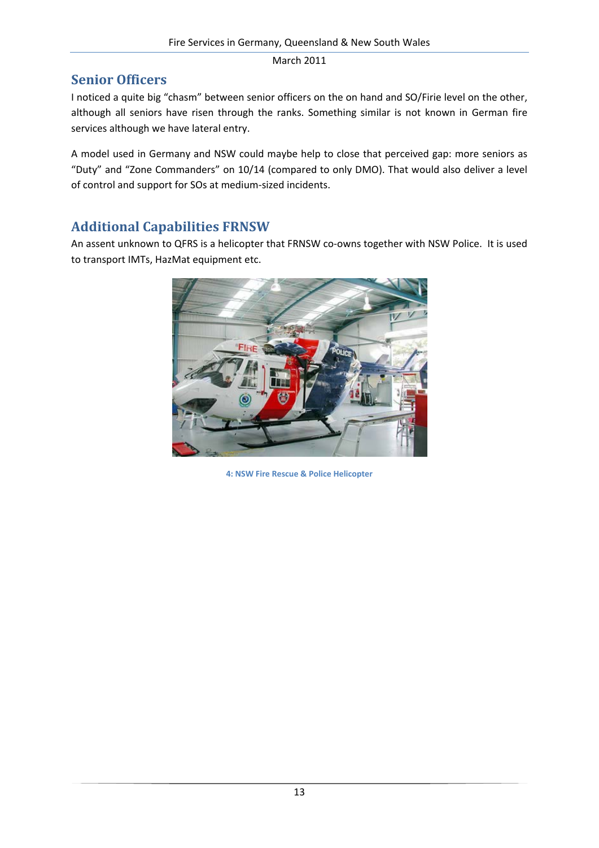### **Senior Officers**

I noticed a quite big "chasm" between senior officers on the on hand and SO/Firie level on the other, although all seniors have risen through the ranks. Something similar is not known in German fire services although we have lateral entry.

A model used in Germany and NSW could maybe help to close that perceived gap: more seniors as "Duty" and "Zone Commanders" on 10/14 (compared to only DMO). That would also deliver a level of control and support for SOs at medium‐sized incidents.

# **Additional Capabilities FRNSW**

An assent unknown to QFRS is a helicopter that FRNSW co-owns together with NSW Police. It is used to transport IMTs, HazMat equipment etc.



**4: NSW Fire Rescue & Police Helicopter**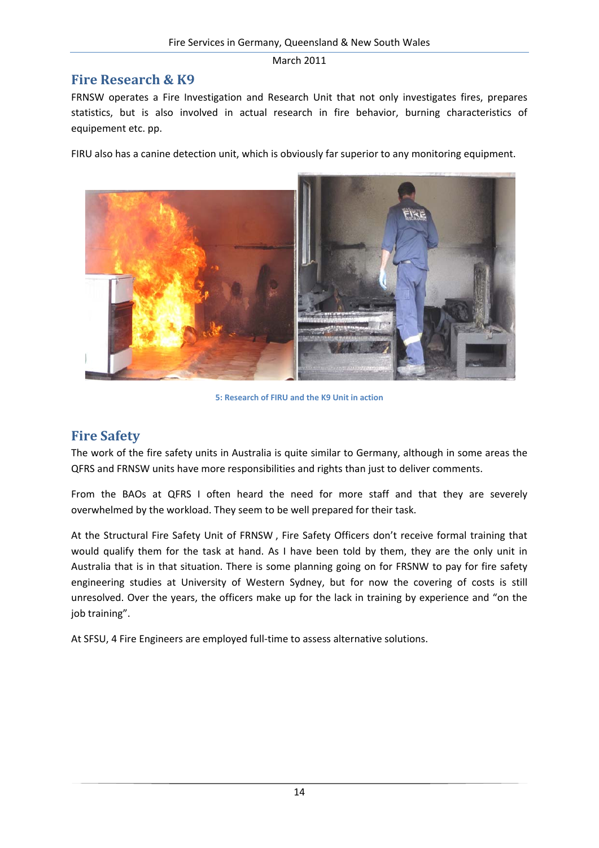#### **Fire Research & K9**

FRNSW operates a Fire Investigation and Research Unit that not only investigates fires, prepares statistics, but is also involved in actual research in fire behavior, burning characteristics of equipement etc. pp.

FIRU also has a canine detection unit, which is obviously far superior to any monitoring equipment.



**5: Research of FIRU and the K9 Unit in action**

### **Fire Safety**

The work of the fire safety units in Australia is quite similar to Germany, although in some areas the QFRS and FRNSW units have more responsibilities and rights than just to deliver comments.

From the BAOs at QFRS I often heard the need for more staff and that they are severely overwhelmed by the workload. They seem to be well prepared for their task.

At the Structural Fire Safety Unit of FRNSW , Fire Safety Officers don't receive formal training that would qualify them for the task at hand. As I have been told by them, they are the only unit in Australia that is in that situation. There is some planning going on for FRSNW to pay for fire safety engineering studies at University of Western Sydney, but for now the covering of costs is still unresolved. Over the years, the officers make up for the lack in training by experience and "on the job training".

At SFSU, 4 Fire Engineers are employed full-time to assess alternative solutions.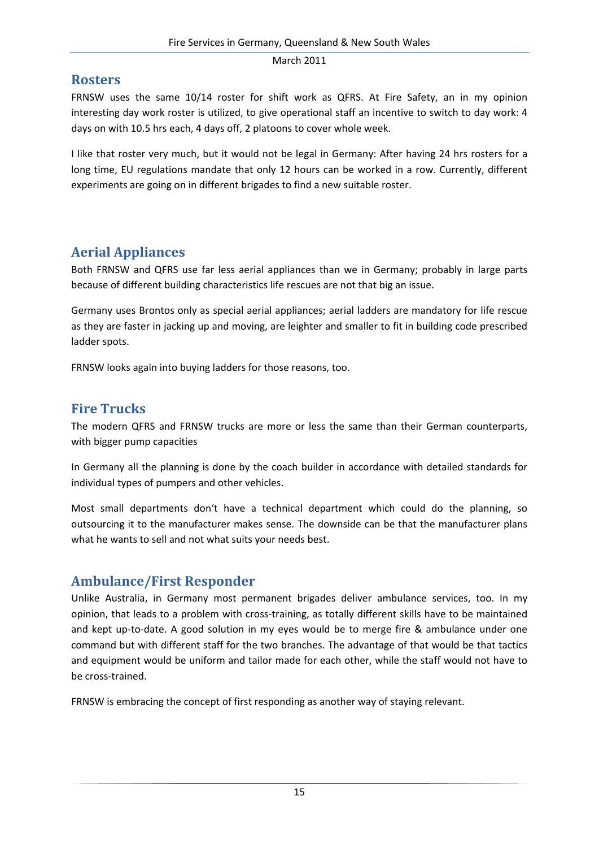#### **Rosters**

FRNSW uses the same 10/14 roster for shift work as QFRS. At Fire Safety, an in my opinion interesting day work roster is utilized, to give operational staff an incentive to switch to day work: 4 days on with 10.5 hrs each, 4 days off, 2 platoons to cover whole week.

I like that roster very much, but it would not be legal in Germany: After having 24 hrs rosters for a long time, EU regulations mandate that only 12 hours can be worked in a row. Currently, different experiments are going on in different brigades to find a new suitable roster.

### **Aerial Appliances**

Both FRNSW and QFRS use far less aerial appliances than we in Germany; probably in large parts because of different building characteristics life rescues are not that big an issue.

Germany uses Brontos only as special aerial appliances; aerial ladders are mandatory for life rescue as they are faster in jacking up and moving, are leighter and smaller to fit in building code prescribed ladder spots.

FRNSW looks again into buying ladders for those reasons, too.

### **Fire Trucks**

The modern QFRS and FRNSW trucks are more or less the same than their German counterparts, with bigger pump capacities

In Germany all the planning is done by the coach builder in accordance with detailed standards for individual types of pumpers and other vehicles.

Most small departments don't have a technical department which could do the planning, so outsourcing it to the manufacturer makes sense. The downside can be that the manufacturer plans what he wants to sell and not what suits your needs best.

### **Ambulance/First Responder**

Unlike Australia, in Germany most permanent brigades deliver ambulance services, too. In my opinion, that leads to a problem with cross‐training, as totally different skills have to be maintained and kept up-to-date. A good solution in my eyes would be to merge fire & ambulance under one command but with different staff for the two branches. The advantage of that would be that tactics and equipment would be uniform and tailor made for each other, while the staff would not have to be cross‐trained.

FRNSW is embracing the concept of first responding as another way of staying relevant.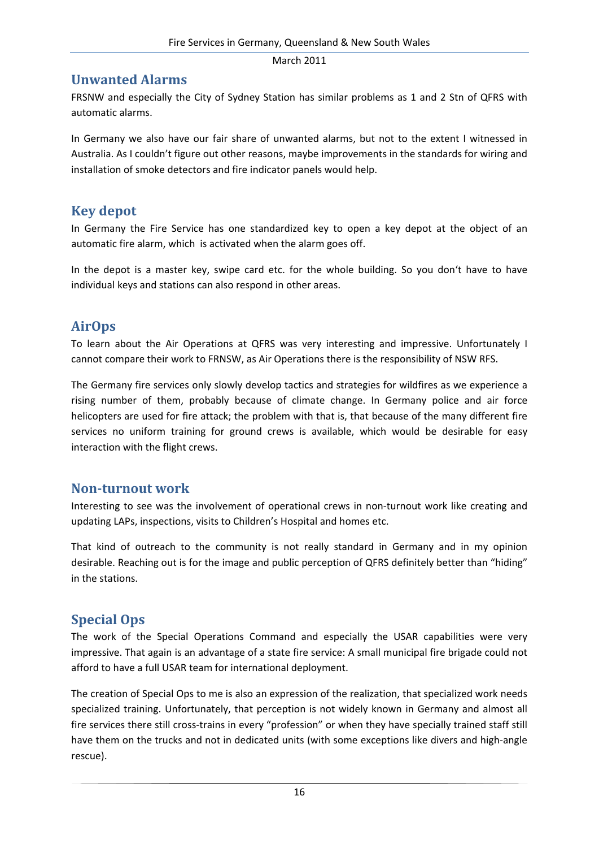#### **Unwanted Alarms**

FRSNW and especially the City of Sydney Station has similar problems as 1 and 2 Stn of QFRS with automatic alarms.

In Germany we also have our fair share of unwanted alarms, but not to the extent I witnessed in Australia. As I couldn't figure out other reasons, maybe improvements in the standards for wiring and installation of smoke detectors and fire indicator panels would help.

### **Key depot**

In Germany the Fire Service has one standardized key to open a key depot at the object of an automatic fire alarm, which is activated when the alarm goes off.

In the depot is a master key, swipe card etc. for the whole building. So you don't have to have individual keys and stations can also respond in other areas.

### **AirOps**

To learn about the Air Operations at QFRS was very interesting and impressive. Unfortunately I cannot compare their work to FRNSW, as Air Operations there is the responsibility of NSW RFS.

The Germany fire services only slowly develop tactics and strategies for wildfires as we experience a rising number of them, probably because of climate change. In Germany police and air force helicopters are used for fire attack; the problem with that is, that because of the many different fire services no uniform training for ground crews is available, which would be desirable for easy interaction with the flight crews.

#### **Non‐turnout work**

Interesting to see was the involvement of operational crews in non-turnout work like creating and updating LAPs, inspections, visits to Children's Hospital and homes etc.

That kind of outreach to the community is not really standard in Germany and in my opinion desirable. Reaching out is for the image and public perception of QFRS definitely better than "hiding" in the stations.

# **Special Ops**

The work of the Special Operations Command and especially the USAR capabilities were very impressive. That again is an advantage of a state fire service: A small municipal fire brigade could not afford to have a full USAR team for international deployment.

The creation of Special Ops to me is also an expression of the realization, that specialized work needs specialized training. Unfortunately, that perception is not widely known in Germany and almost all fire services there still cross-trains in every "profession" or when they have specially trained staff still have them on the trucks and not in dedicated units (with some exceptions like divers and high-angle rescue).